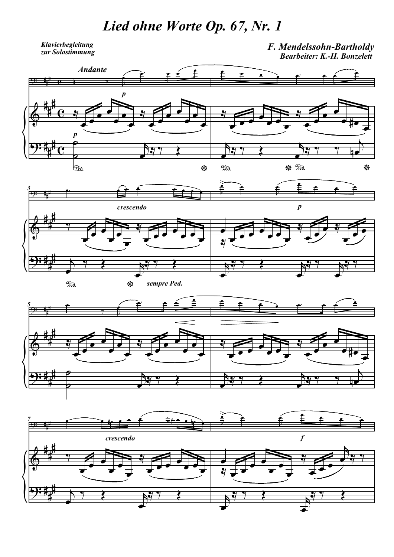Klavierbegleitung zur Solostimmung

F. Mendelssohn-Bartholdy Bearbeiter: K.-H. Bonzelett

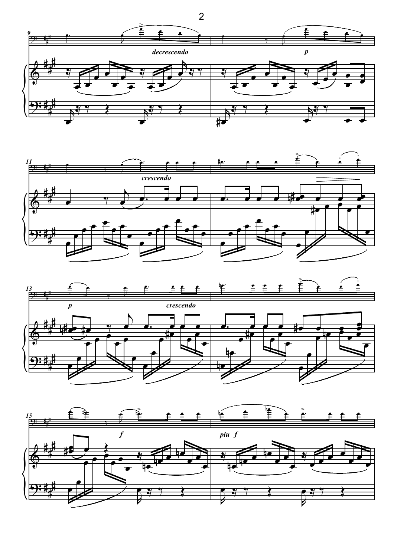







2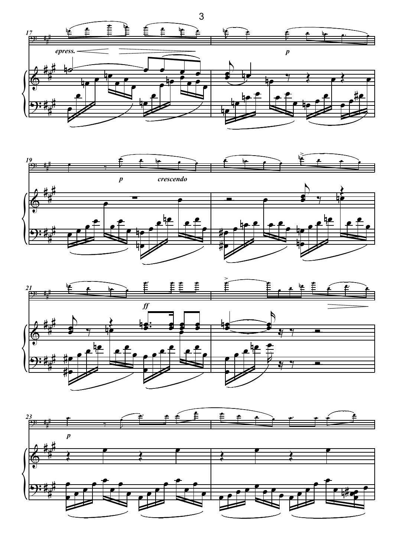





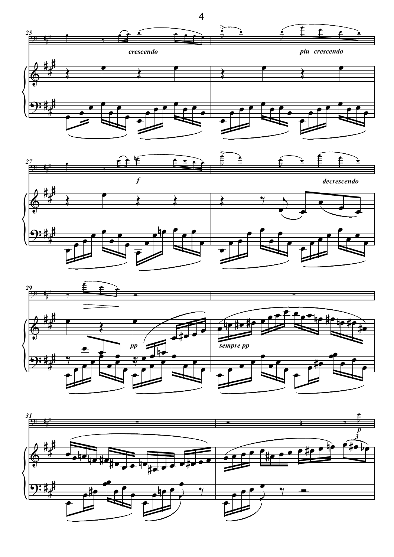







4